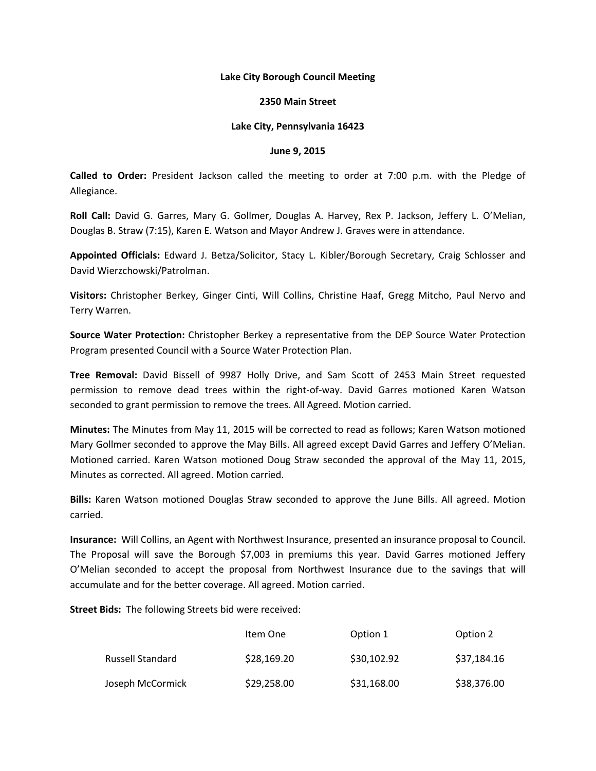## **Lake City Borough Council Meeting**

### **2350 Main Street**

## **Lake City, Pennsylvania 16423**

#### **June 9, 2015**

**Called to Order:** President Jackson called the meeting to order at 7:00 p.m. with the Pledge of Allegiance.

**Roll Call:** David G. Garres, Mary G. Gollmer, Douglas A. Harvey, Rex P. Jackson, Jeffery L. O'Melian, Douglas B. Straw (7:15), Karen E. Watson and Mayor Andrew J. Graves were in attendance.

**Appointed Officials:** Edward J. Betza/Solicitor, Stacy L. Kibler/Borough Secretary, Craig Schlosser and David Wierzchowski/Patrolman.

**Visitors:** Christopher Berkey, Ginger Cinti, Will Collins, Christine Haaf, Gregg Mitcho, Paul Nervo and Terry Warren.

**Source Water Protection:** Christopher Berkey a representative from the DEP Source Water Protection Program presented Council with a Source Water Protection Plan.

**Tree Removal:** David Bissell of 9987 Holly Drive, and Sam Scott of 2453 Main Street requested permission to remove dead trees within the right-of-way. David Garres motioned Karen Watson seconded to grant permission to remove the trees. All Agreed. Motion carried.

**Minutes:** The Minutes from May 11, 2015 will be corrected to read as follows; Karen Watson motioned Mary Gollmer seconded to approve the May Bills. All agreed except David Garres and Jeffery O'Melian. Motioned carried. Karen Watson motioned Doug Straw seconded the approval of the May 11, 2015, Minutes as corrected. All agreed. Motion carried.

**Bills:** Karen Watson motioned Douglas Straw seconded to approve the June Bills. All agreed. Motion carried.

**Insurance:** Will Collins, an Agent with Northwest Insurance, presented an insurance proposal to Council. The Proposal will save the Borough \$7,003 in premiums this year. David Garres motioned Jeffery O'Melian seconded to accept the proposal from Northwest Insurance due to the savings that will accumulate and for the better coverage. All agreed. Motion carried.

**Street Bids:** The following Streets bid were received:

|                         | Item One    | Option 1    | Option 2    |
|-------------------------|-------------|-------------|-------------|
| <b>Russell Standard</b> | \$28,169.20 | \$30,102.92 | \$37,184.16 |
| Joseph McCormick        | \$29,258.00 | \$31,168.00 | \$38,376.00 |